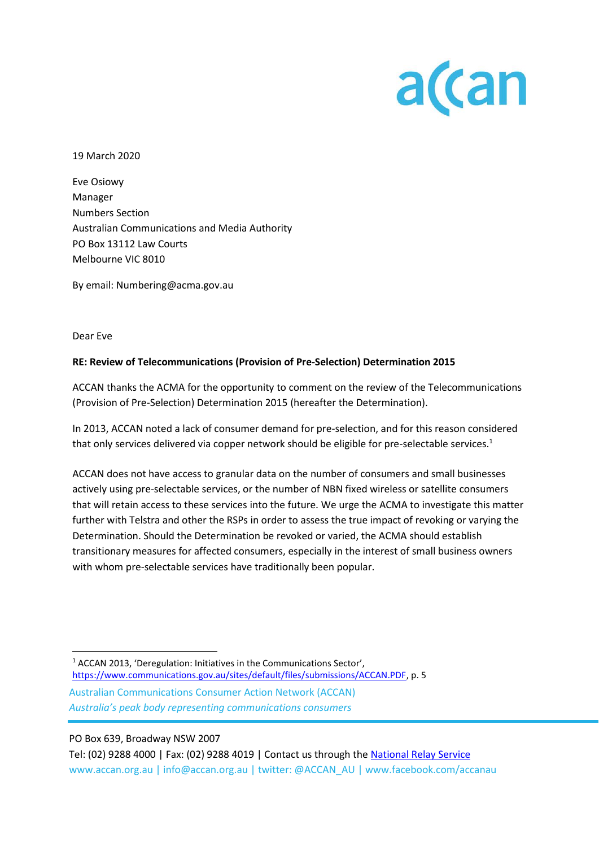

19 March 2020

Eve Osiowy Manager Numbers Section Australian Communications and Media Authority PO Box 13112 Law Courts Melbourne VIC 8010

By email: Numbering@acma.gov.au

Dear Eve

## **RE: Review of Telecommunications (Provision of Pre-Selection) Determination 2015**

ACCAN thanks the ACMA for the opportunity to comment on the review of the Telecommunications (Provision of Pre-Selection) Determination 2015 (hereafter the Determination).

In 2013, ACCAN noted a lack of consumer demand for pre-selection, and for this reason considered that only services delivered via copper network should be eligible for pre-selectable services.<sup>1</sup>

ACCAN does not have access to granular data on the number of consumers and small businesses actively using pre-selectable services, or the number of NBN fixed wireless or satellite consumers that will retain access to these services into the future. We urge the ACMA to investigate this matter further with Telstra and other the RSPs in order to assess the true impact of revoking or varying the Determination. Should the Determination be revoked or varied, the ACMA should establish transitionary measures for affected consumers, especially in the interest of small business owners with whom pre-selectable services have traditionally been popular.

Australian Communications Consumer Action Network (ACCAN) *Australia's peak body representing communications consumers* <sup>1</sup> ACCAN 2013, 'Deregulation: Initiatives in the Communications Sector', [https://www.communications.gov.au/sites/default/files/submissions/ACCAN.PDF,](https://www.communications.gov.au/sites/default/files/submissions/ACCAN.PDF) p. 5

PO Box 639, Broadway NSW 2007

Tel: (02) 9288 4000 | Fax: (02) 9288 4019 | Contact us through the [National Relay Service](http://relayservice.gov.au/) www.accan.org.au | info@accan.org.au | twitter: @ACCAN\_AU | www.facebook.com/accanau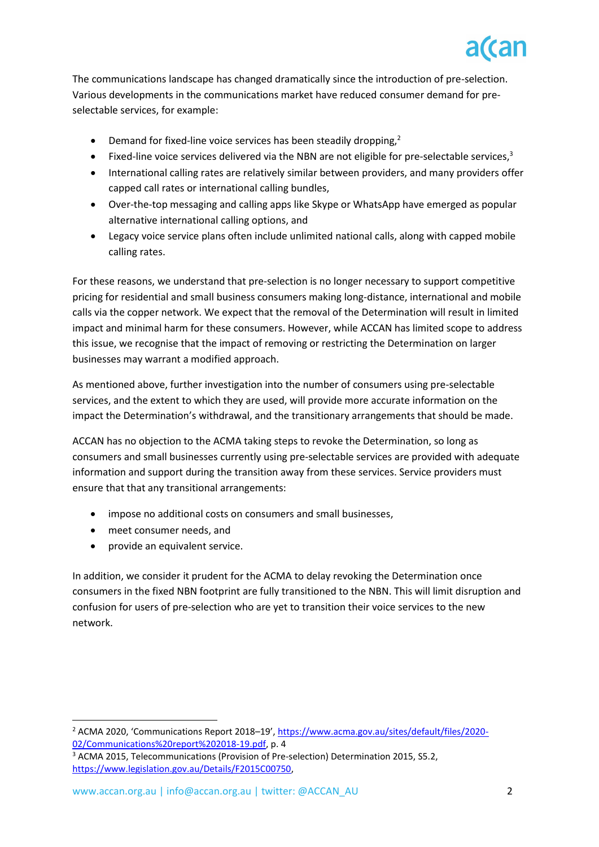

The communications landscape has changed dramatically since the introduction of pre-selection. Various developments in the communications market have reduced consumer demand for preselectable services, for example:

- Demand for fixed-line voice services has been steadily dropping.<sup>2</sup>
- Fixed-line voice services delivered via the NBN are not eligible for pre-selectable services, $3$
- International calling rates are relatively similar between providers, and many providers offer capped call rates or international calling bundles,
- Over-the-top messaging and calling apps like Skype or WhatsApp have emerged as popular alternative international calling options, and
- Legacy voice service plans often include unlimited national calls, along with capped mobile calling rates.

For these reasons, we understand that pre-selection is no longer necessary to support competitive pricing for residential and small business consumers making long-distance, international and mobile calls via the copper network. We expect that the removal of the Determination will result in limited impact and minimal harm for these consumers. However, while ACCAN has limited scope to address this issue, we recognise that the impact of removing or restricting the Determination on larger businesses may warrant a modified approach.

As mentioned above, further investigation into the number of consumers using pre-selectable services, and the extent to which they are used, will provide more accurate information on the impact the Determination's withdrawal, and the transitionary arrangements that should be made.

ACCAN has no objection to the ACMA taking steps to revoke the Determination, so long as consumers and small businesses currently using pre-selectable services are provided with adequate information and support during the transition away from these services. Service providers must ensure that that any transitional arrangements:

- impose no additional costs on consumers and small businesses,
- meet consumer needs, and
- provide an equivalent service.

In addition, we consider it prudent for the ACMA to delay revoking the Determination once consumers in the fixed NBN footprint are fully transitioned to the NBN. This will limit disruption and confusion for users of pre-selection who are yet to transition their voice services to the new network.

<sup>2</sup> ACMA 2020, 'Communications Report 2018–19', [https://www.acma.gov.au/sites/default/files/2020-](https://www.acma.gov.au/sites/default/files/2020-02/Communications%20report%202018-19.pdf) [02/Communications%20report%202018-19.pdf,](https://www.acma.gov.au/sites/default/files/2020-02/Communications%20report%202018-19.pdf) p. 4

<sup>3</sup> ACMA 2015, Telecommunications (Provision of Pre-selection) Determination 2015, S5.2, [https://www.legislation.gov.au/Details/F2015C00750,](https://www.legislation.gov.au/Details/F2015C00750)